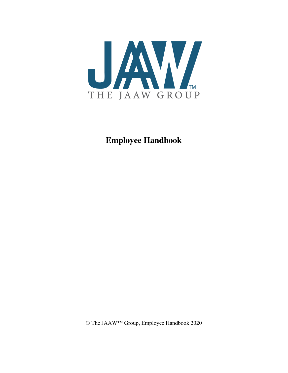

# **Employee Handbook**

© The JAAW™ Group, Employee Handbook 2020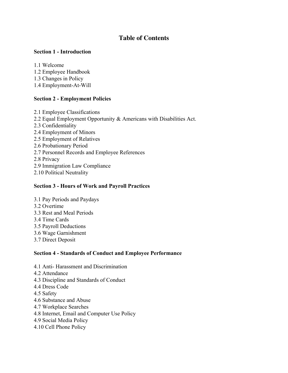# **Table of Contents**

### **Section 1 - Introduction**

1.1 Welcome

- 1.2 Employee Handbook
- 1.3 Changes in Policy
- 1.4 Employment-At-Will

### **Section 2 - Employment Policies**

2.1 Employee Classifications 2.2 Equal Employment Opportunity & Americans with Disabilities Act. 2.3 Confidentiality 2.4 Employment of Minors 2.5 Employment of Relatives 2.6 Probationary Period 2.7 Personnel Records and Employee References 2.8 Privacy 2.9 Immigration Law Compliance 2.10 Political Neutrality

### **Section 3 - Hours of Work and Payroll Practices**

- 3.1 Pay Periods and Paydays
- 3.2 Overtime
- 3.3 Rest and Meal Periods
- 3.4 Time Cards
- 3.5 Payroll Deductions
- 3.6 Wage Garnishment
- 3.7 Direct Deposit

### **Section 4 - Standards of Conduct and Employee Performance**

- 4.1 Anti- Harassment and Discrimination
- 4.2 Attendance
- 4.3 Discipline and Standards of Conduct
- 4.4 Dress Code
- 4.5 Safety
- 4.6 Substance and Abuse
- 4.7 Workplace Searches
- 4.8 Internet, Email and Computer Use Policy
- 4.9 Social Media Policy
- 4.10 Cell Phone Policy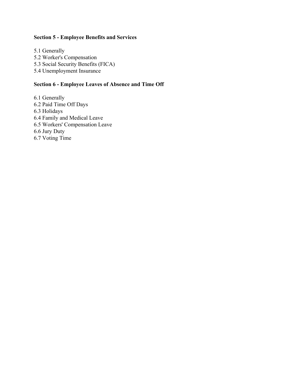### **Section 5 - Employee Benefits and Services**

5.1 Generally 5.2 Worker's Compensation 5.3 Social Security Benefits (FICA) 5.4 Unemployment Insurance

### **Section 6 - Employee Leaves of Absence and Time Off**

6.1 Generally 6.2 Paid Time Off Days 6.3 Holidays 6.4 Family and Medical Leave 6.5 Workers' Compensation Leave 6.6 Jury Duty 6.7 Voting Time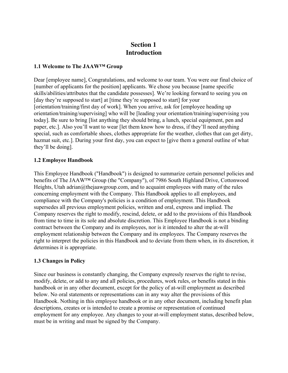# **Section 1 Introduction**

#### **1.1 Welcome to The JAAW™ Group**

Dear [employee name], Congratulations, and welcome to our team. You were our final choice of [number of applicants for the position] applicants. We chose you because [name specific skills/abilities/attributes that the candidate possesses]. We're looking forward to seeing you on [day they're supposed to start] at [time they're supposed to start] for your [orientation/training/first day of work]. When you arrive, ask for [employee heading up orientation/training/supervising] who will be [leading your orientation/training/supervising you today]. Be sure to bring [list anything they should bring, a lunch, special equipment, pen and paper, etc.]. Also you'll want to wear [let them know how to dress, if they'll need anything special, such as comfortable shoes, clothes appropriate for the weather, clothes that can get dirty, hazmat suit, etc.]. During your first day, you can expect to [give them a general outline of what they'll be doing].

### **1.2 Employee Handbook**

This Employee Handbook ("Handbook") is designed to summarize certain personnel policies and benefits of The JAAW™ Group (the "Company"), of 7986 South Highland Drive, Cottonwood Heights, Utah adrian@thejaawgroup.com, and to acquaint employees with many of the rules concerning employment with the Company. This Handbook applies to all employees, and compliance with the Company's policies is a condition of employment. This Handbook supersedes all previous employment policies, written and oral, express and implied. The Company reserves the right to modify, rescind, delete, or add to the provisions of this Handbook from time to time in its sole and absolute discretion. This Employee Handbook is not a binding contract between the Company and its employees, nor is it intended to alter the at-will employment relationship between the Company and its employees. The Company reserves the right to interpret the policies in this Handbook and to deviate from them when, in its discretion, it determines it is appropriate.

### **1.3 Changes in Policy**

Since our business is constantly changing, the Company expressly reserves the right to revise, modify, delete, or add to any and all policies, procedures, work rules, or benefits stated in this handbook or in any other document, except for the policy of at-will employment as described below. No oral statements or representations can in any way alter the provisions of this Handbook. Nothing in this employee handbook or in any other document, including benefit plan descriptions, creates or is intended to create a promise or representation of continued employment for any employee. Any changes to your at-will employment status, described below, must be in writing and must be signed by the Company.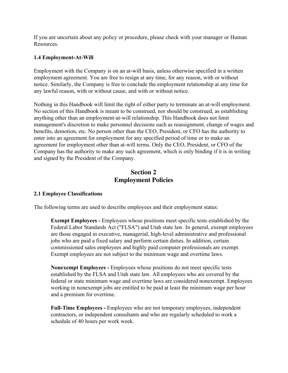If you are uncertain about any policy or procedure, please check with your manager or Human Resources.

### **1.4 Employment-At-Will**

Employment with the Company is on an at-will basis, unless otherwise specified in a written employment agreement. You are free to resign at any time, for any reason, with or without notice. Similarly, the Company is free to conclude the employment relationship at any time for any lawful reason, with or without cause, and with or without notice.

Nothing in this Handbook will limit the right of either party to terminate an at-will employment. No section of this Handbook is meant to be construed, nor should be construed, as establishing anything other than an employment-at-will relationship. This Handbook does not limit management's discretion to make personnel decisions such as reassignment, change of wages and benefits, demotion, etc. No person other than the CEO, President, or CFO has the authority to enter into an agreement for employment for any specified period of time or to make an agreement for employment other than at-will terms. Only the CEO, President, or CFO of the Company has the authority to make any such agreement, which is only binding if it is in writing and signed by the President of the Company.

### **Section 2 Employment Policies**

### **2.1 Employee Classifications**

The following terms are used to describe employees and their employment status:

**Exempt Employees -** Employees whose positions meet specific tests established by the Federal Labor Standards Act ("FLSA") and Utah state law. In general, exempt employees are those engaged in executive, managerial, high-level administrative and professional jobs who are paid a fixed salary and perform certain duties. In addition, certain commissioned sales employees and highly paid computer professionals are exempt. Exempt employees are not subject to the minimum wage and overtime laws.

**Nonexempt Employees -** Employees whose positions do not meet specific tests established by the FLSA and Utah state law. All employees who are covered by the federal or state minimum wage and overtime laws are considered nonexempt. Employees working in nonexempt jobs are entitled to be paid at least the minimum wage per hour and a premium for overtime.

**Full-Time Employees -** Employees who are not temporary employees, independent contractors, or independent consultants and who are regularly scheduled to work a schedule of 40 hours per work week.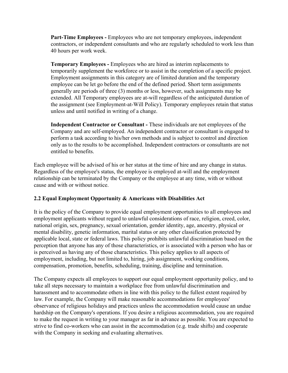**Part-Time Employees -** Employees who are not temporary employees, independent contractors, or independent consultants and who are regularly scheduled to work less than 40 hours per work week.

**Temporary Employees -** Employees who are hired as interim replacements to temporarily supplement the workforce or to assist in the completion of a specific project. Employment assignments in this category are of limited duration and the temporary employee can be let go before the end of the defined period. Short term assignments generally are periods of three (3) months or less, however, such assignments may be extended. All Temporary employees are at-will regardless of the anticipated duration of the assignment (see Employment-at-Will Policy). Temporary employees retain that status unless and until notified in writing of a change.

**Independent Contractor or Consultant -** These individuals are not employees of the Company and are self-employed. An independent contractor or consultant is engaged to perform a task according to his/her own methods and is subject to control and direction only as to the results to be accomplished. Independent contractors or consultants are not entitled to benefits.

Each employee will be advised of his or her status at the time of hire and any change in status. Regardless of the employee's status, the employee is employed at-will and the employment relationship can be terminated by the Company or the employee at any time, with or without cause and with or without notice.

### **2.2 Equal Employment Opportunity & Americans with Disabilities Act**

It is the policy of the Company to provide equal employment opportunities to all employees and employment applicants without regard to unlawful considerations of race, religion, creed, color, national origin, sex, pregnancy, sexual orientation, gender identity, age, ancestry, physical or mental disability, genetic information, marital status or any other classification protected by applicable local, state or federal laws. This policy prohibits unlawful discrimination based on the perception that anyone has any of those characteristics, or is associated with a person who has or is perceived as having any of those characteristics. This policy applies to all aspects of employment, including, but not limited to, hiring, job assignment, working conditions, compensation, promotion, benefits, scheduling, training, discipline and termination.

The Company expects all employees to support our equal employment opportunity policy, and to take all steps necessary to maintain a workplace free from unlawful discrimination and harassment and to accommodate others in line with this policy to the fullest extent required by law. For example, the Company will make reasonable accommodations for employees' observance of religious holidays and practices unless the accommodation would cause an undue hardship on the Company's operations. If you desire a religious accommodation, you are required to make the request in writing to your manager as far in advance as possible. You are expected to strive to find co-workers who can assist in the accommodation (e.g. trade shifts) and cooperate with the Company in seeking and evaluating alternatives.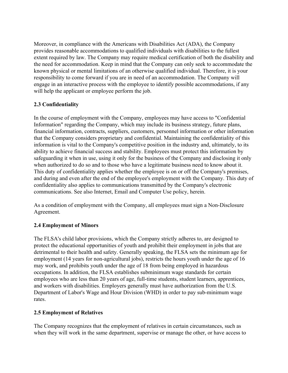Moreover, in compliance with the Americans with Disabilities Act (ADA), the Company provides reasonable accommodations to qualified individuals with disabilities to the fullest extent required by law. The Company may require medical certification of both the disability and the need for accommodation. Keep in mind that the Company can only seek to accommodate the known physical or mental limitations of an otherwise qualified individual. Therefore, it is your responsibility to come forward if you are in need of an accommodation. The Company will engage in an interactive process with the employee to identify possible accommodations, if any will help the applicant or employee perform the job.

### **2.3 Confidentiality**

In the course of employment with the Company, employees may have access to "Confidential Information" regarding the Company, which may include its business strategy, future plans, financial information, contracts, suppliers, customers, personnel information or other information that the Company considers proprietary and confidential. Maintaining the confidentiality of this information is vital to the Company's competitive position in the industry and, ultimately, to its ability to achieve financial success and stability. Employees must protect this information by safeguarding it when in use, using it only for the business of the Company and disclosing it only when authorized to do so and to those who have a legitimate business need to know about it. This duty of confidentiality applies whether the employee is on or off the Company's premises, and during and even after the end of the employee's employment with the Company. This duty of confidentiality also applies to communications transmitted by the Company's electronic communications. See also Internet, Email and Computer Use policy, herein.

As a condition of employment with the Company, all employees must sign a Non-Disclosure Agreement.

### **2.4 Employment of Minors**

The FLSA's child labor provisions, which the Company strictly adheres to, are designed to protect the educational opportunities of youth and prohibit their employment in jobs that are detrimental to their health and safety. Generally speaking, the FLSA sets the minimum age for employment (14 years for non-agricultural jobs), restricts the hours youth under the age of 16 may work, and prohibits youth under the age of 18 from being employed in hazardous occupations. In addition, the FLSA establishes subminimum wage standards for certain employees who are less than 20 years of age, full-time students, student learners, apprentices, and workers with disabilities. Employers generally must have authorization from the U.S. Department of Labor's Wage and Hour Division (WHD) in order to pay sub-minimum wage rates.

### **2.5 Employment of Relatives**

The Company recognizes that the employment of relatives in certain circumstances, such as when they will work in the same department, supervise or manage the other, or have access to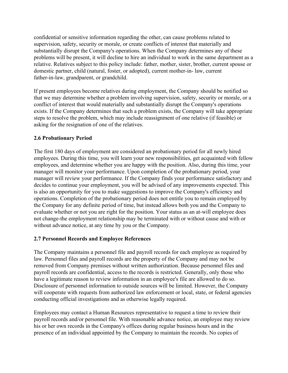confidential or sensitive information regarding the other, can cause problems related to supervision, safety, security or morale, or create conflicts of interest that materially and substantially disrupt the Company's operations. When the Company determines any of these problems will be present, it will decline to hire an individual to work in the same department as a relative. Relatives subject to this policy include: father, mother, sister, brother, current spouse or domestic partner, child (natural, foster, or adopted), current mother-in- law, current father-in-law, grandparent, or grandchild.

If present employees become relatives during employment, the Company should be notified so that we may determine whether a problem involving supervision, safety, security or morale, or a conflict of interest that would materially and substantially disrupt the Company's operations exists. If the Company determines that such a problem exists, the Company will take appropriate steps to resolve the problem, which may include reassignment of one relative (if feasible) or asking for the resignation of one of the relatives.

### **2.6 Probationary Period**

The first 180 days of employment are considered an probationary period for all newly hired employees. During this time, you will learn your new responsibilities, get acquainted with fellow employees, and determine whether you are happy with the position. Also, during this time, your manager will monitor your performance. Upon completion of the probationary period, your manager will review your performance. If the Company finds your performance satisfactory and decides to continue your employment, you will be advised of any improvements expected. This is also an opportunity for you to make suggestions to improve the Company's efficiency and operations. Completion of the probationary period does not entitle you to remain employed by the Company for any definite period of time, but instead allows both you and the Company to evaluate whether or not you are right for the position. Your status as an at-will employee does not change-the employment relationship may be terminated with or without cause and with or without advance notice, at any time by you or the Company.

### **2.7 Personnel Records and Employee References**

The Company maintains a personnel file and payroll records for each employee as required by law. Personnel files and payroll records are the property of the Company and may not be removed from Company premises without written authorization. Because personnel files and payroll records are confidential, access to the records is restricted. Generally, only those who have a legitimate reason to review information in an employee's file are allowed to do so. Disclosure of personnel information to outside sources will be limited. However, the Company will cooperate with requests from authorized law enforcement or local, state, or federal agencies conducting official investigations and as otherwise legally required.

Employees may contact a Human Resources representative to request a time to review their payroll records and/or personnel file. With reasonable advance notice, an employee may review his or her own records in the Company's offices during regular business hours and in the presence of an individual appointed by the Company to maintain the records. No copies of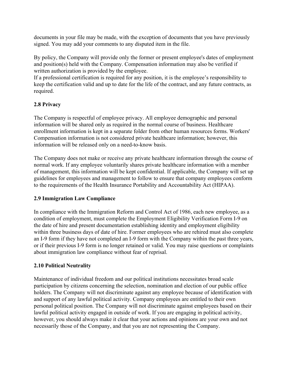documents in your file may be made, with the exception of documents that you have previously signed. You may add your comments to any disputed item in the file.

By policy, the Company will provide only the former or present employee's dates of employment and position(s) held with the Company. Compensation information may also be verified if written authorization is provided by the employee.

If a professional certification is required for any position, it is the employee's responsibility to keep the certification valid and up to date for the life of the contract, and any future contracts, as required.

### **2.8 Privacy**

The Company is respectful of employee privacy. All employee demographic and personal information will be shared only as required in the normal course of business. Healthcare enrollment information is kept in a separate folder from other human resources forms. Workers' Compensation information is not considered private healthcare information; however, this information will be released only on a need-to-know basis.

The Company does not make or receive any private healthcare information through the course of normal work. If any employee voluntarily shares private healthcare information with a member of management, this information will be kept confidential. If applicable, the Company will set up guidelines for employees and management to follow to ensure that company employees conform to the requirements of the Health Insurance Portability and Accountability Act (HIPAA).

### **2.9 Immigration Law Compliance**

In compliance with the Immigration Reform and Control Act of 1986, each new employee, as a condition of employment, must complete the Employment Eligibility Verification Form I-9 on the date of hire and present documentation establishing identity and employment eligibility within three business days of date of hire. Former employees who are rehired must also complete an I-9 form if they have not completed an I-9 form with the Company within the past three years, or if their previous I-9 form is no longer retained or valid. You may raise questions or complaints about immigration law compliance without fear of reprisal.

### **2.10 Political Neutrality**

Maintenance of individual freedom and our political institutions necessitates broad scale participation by citizens concerning the selection, nomination and election of our public office holders. The Company will not discriminate against any employee because of identification with and support of any lawful political activity. Company employees are entitled to their own personal political position. The Company will not discriminate against employees based on their lawful political activity engaged in outside of work. If you are engaging in political activity, however, you should always make it clear that your actions and opinions are your own and not necessarily those of the Company, and that you are not representing the Company.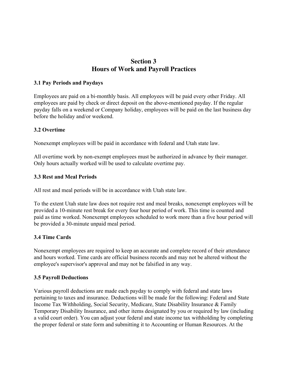## **Section 3 Hours of Work and Payroll Practices**

#### **3.1 Pay Periods and Paydays**

Employees are paid on a bi-monthly basis. All employees will be paid every other Friday. All employees are paid by check or direct deposit on the above-mentioned payday. If the regular payday falls on a weekend or Company holiday, employees will be paid on the last business day before the holiday and/or weekend.

#### **3.2 Overtime**

Nonexempt employees will be paid in accordance with federal and Utah state law.

All overtime work by non-exempt employees must be authorized in advance by their manager. Only hours actually worked will be used to calculate overtime pay.

#### **3.3 Rest and Meal Periods**

All rest and meal periods will be in accordance with Utah state law.

To the extent Utah state law does not require rest and meal breaks, nonexempt employees will be provided a 10-minute rest break for every four hour period of work. This time is counted and paid as time worked. Nonexempt employees scheduled to work more than a five hour period will be provided a 30-minute unpaid meal period.

### **3.4 Time Cards**

Nonexempt employees are required to keep an accurate and complete record of their attendance and hours worked. Time cards are official business records and may not be altered without the employee's supervisor's approval and may not be falsified in any way.

### **3.5 Payroll Deductions**

Various payroll deductions are made each payday to comply with federal and state laws pertaining to taxes and insurance. Deductions will be made for the following: Federal and State Income Tax Withholding, Social Security, Medicare, State Disability Insurance & Family Temporary Disability Insurance, and other items designated by you or required by law (including a valid court order). You can adjust your federal and state income tax withholding by completing the proper federal or state form and submitting it to Accounting or Human Resources. At the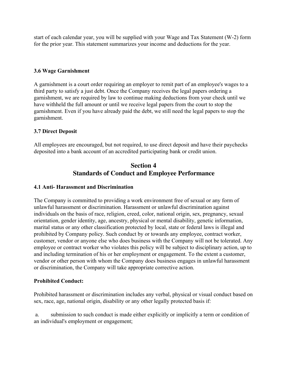start of each calendar year, you will be supplied with your Wage and Tax Statement (W-2) form for the prior year. This statement summarizes your income and deductions for the year.

### **3.6 Wage Garnishment**

A garnishment is a court order requiring an employer to remit part of an employee's wages to a third party to satisfy a just debt. Once the Company receives the legal papers ordering a garnishment, we are required by law to continue making deductions from your check until we have withheld the full amount or until we receive legal papers from the court to stop the garnishment. Even if you have already paid the debt, we still need the legal papers to stop the garnishment.

### **3.7 Direct Deposit**

All employees are encouraged, but not required, to use direct deposit and have their paychecks deposited into a bank account of an accredited participating bank or credit union.

# **Section 4 Standards of Conduct and Employee Performance**

### **4.1 Anti- Harassment and Discrimination**

The Company is committed to providing a work environment free of sexual or any form of unlawful harassment or discrimination. Harassment or unlawful discrimination against individuals on the basis of race, religion, creed, color, national origin, sex, pregnancy, sexual orientation, gender identity, age, ancestry, physical or mental disability, genetic information, marital status or any other classification protected by local, state or federal laws is illegal and prohibited by Company policy. Such conduct by or towards any employee, contract worker, customer, vendor or anyone else who does business with the Company will not be tolerated. Any employee or contract worker who violates this policy will be subject to disciplinary action, up to and including termination of his or her employment or engagement. To the extent a customer, vendor or other person with whom the Company does business engages in unlawful harassment or discrimination, the Company will take appropriate corrective action.

### **Prohibited Conduct:**

Prohibited harassment or discrimination includes any verbal, physical or visual conduct based on sex, race, age, national origin, disability or any other legally protected basis if:

 a. submission to such conduct is made either explicitly or implicitly a term or condition of an individual's employment or engagement;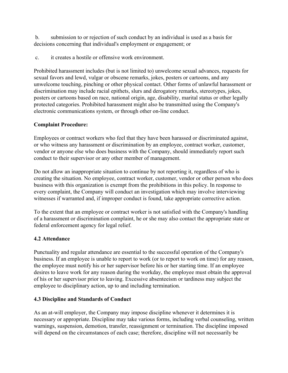b. submission to or rejection of such conduct by an individual is used as a basis for decisions concerning that individual's employment or engagement; or

c. it creates a hostile or offensive work environment.

Prohibited harassment includes (but is not limited to) unwelcome sexual advances, requests for sexual favors and lewd, vulgar or obscene remarks, jokes, posters or cartoons, and any unwelcome touching, pinching or other physical contact. Other forms of unlawful harassment or discrimination may include racial epithets, slurs and derogatory remarks, stereotypes, jokes, posters or cartoons based on race, national origin, age, disability, marital status or other legally protected categories. Prohibited harassment might also be transmitted using the Company's electronic communications system, or through other on-line conduct.

### **Complaint Procedure:**

Employees or contract workers who feel that they have been harassed or discriminated against, or who witness any harassment or discrimination by an employee, contract worker, customer, vendor or anyone else who does business with the Company, should immediately report such conduct to their supervisor or any other member of management.

Do not allow an inappropriate situation to continue by not reporting it, regardless of who is creating the situation. No employee, contract worker, customer, vendor or other person who does business with this organization is exempt from the prohibitions in this policy. In response to every complaint, the Company will conduct an investigation which may involve interviewing witnesses if warranted and, if improper conduct is found, take appropriate corrective action.

To the extent that an employee or contract worker is not satisfied with the Company's handling of a harassment or discrimination complaint, he or she may also contact the appropriate state or federal enforcement agency for legal relief.

### **4.2 Attendance**

Punctuality and regular attendance are essential to the successful operation of the Company's business. If an employee is unable to report to work (or to report to work on time) for any reason, the employee must notify his or her supervisor before his or her starting time. If an employee desires to leave work for any reason during the workday, the employee must obtain the approval of his or her supervisor prior to leaving. Excessive absenteeism or tardiness may subject the employee to disciplinary action, up to and including termination.

### **4.3 Discipline and Standards of Conduct**

As an at-will employer, the Company may impose discipline whenever it determines it is necessary or appropriate. Discipline may take various forms, including verbal counseling, written warnings, suspension, demotion, transfer, reassignment or termination. The discipline imposed will depend on the circumstances of each case; therefore, discipline will not necessarily be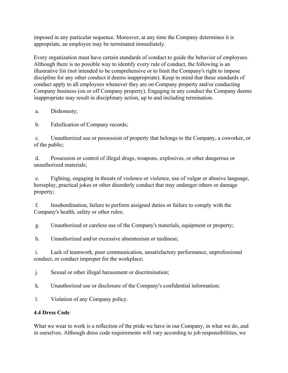imposed in any particular sequence. Moreover, at any time the Company determines it is appropriate, an employee may be terminated immediately.

Every organization must have certain standards of conduct to guide the behavior of employees. Although there is no possible way to identify every rule of conduct, the following is an illustrative list (not intended to be comprehensive or to limit the Company's right to impose discipline for any other conduct it deems inappropriate). Keep in mind that these standards of conduct apply to all employees whenever they are on Company property and/or conducting Company business (on or off Company property). Engaging in any conduct the Company deems inappropriate may result in disciplinary action, up to and including termination.

a. Dishonesty;

b. Falsification of Company records;

 c. Unauthorized use or possession of property that belongs to the Company, a coworker, or of the public;

 d. Possession or control of illegal drugs, weapons, explosives, or other dangerous or unauthorized materials;

 e. Fighting, engaging in threats of violence or violence, use of vulgar or abusive language, horseplay, practical jokes or other disorderly conduct that may endanger others or damage property;

 f. Insubordination, failure to perform assigned duties or failure to comply with the Company's health, safety or other rules;

g. Unauthorized or careless use of the Company's materials, equipment or property;

h. Unauthorized and/or excessive absenteeism or tardiness;

 i. Lack of teamwork, poor communication, unsatisfactory performance, unprofessional conduct, or conduct improper for the workplace;

j. Sexual or other illegal harassment or discrimination;

k. Unauthorized use or disclosure of the Company's confidential information;

l. Violation of any Company policy.

### **4.4 Dress Code**

What we wear to work is a reflection of the pride we have in our Company, in what we do, and in ourselves. Although dress code requirements will vary according to job responsibilities, we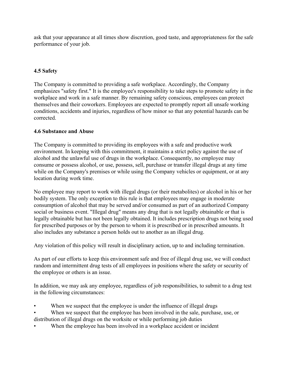ask that your appearance at all times show discretion, good taste, and appropriateness for the safe performance of your job.

### **4.5 Safety**

The Company is committed to providing a safe workplace. Accordingly, the Company emphasizes "safety first." It is the employee's responsibility to take steps to promote safety in the workplace and work in a safe manner. By remaining safety conscious, employees can protect themselves and their coworkers. Employees are expected to promptly report all unsafe working conditions, accidents and injuries, regardless of how minor so that any potential hazards can be corrected.

### **4.6 Substance and Abuse**

The Company is committed to providing its employees with a safe and productive work environment. In keeping with this commitment, it maintains a strict policy against the use of alcohol and the unlawful use of drugs in the workplace. Consequently, no employee may consume or possess alcohol, or use, possess, sell, purchase or transfer illegal drugs at any time while on the Company's premises or while using the Company vehicles or equipment, or at any location during work time.

No employee may report to work with illegal drugs (or their metabolites) or alcohol in his or her bodily system. The only exception to this rule is that employees may engage in moderate consumption of alcohol that may be served and/or consumed as part of an authorized Company social or business event. "Illegal drug" means any drug that is not legally obtainable or that is legally obtainable but has not been legally obtained. It includes prescription drugs not being used for prescribed purposes or by the person to whom it is prescribed or in prescribed amounts. It also includes any substance a person holds out to another as an illegal drug.

Any violation of this policy will result in disciplinary action, up to and including termination.

As part of our efforts to keep this environment safe and free of illegal drug use, we will conduct random and intermittent drug tests of all employees in positions where the safety or security of the employee or others is an issue.

In addition, we may ask any employee, regardless of job responsibilities, to submit to a drug test in the following circumstances:

- When we suspect that the employee is under the influence of illegal drugs
- When we suspect that the employee has been involved in the sale, purchase, use, or distribution of illegal drugs on the worksite or while performing job duties
- When the employee has been involved in a workplace accident or incident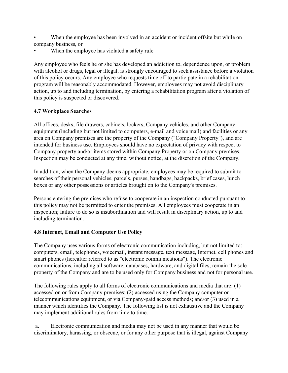- When the employee has been involved in an accident or incident offsite but while on company business, or
- When the employee has violated a safety rule

Any employee who feels he or she has developed an addiction to, dependence upon, or problem with alcohol or drugs, legal or illegal, is strongly encouraged to seek assistance before a violation of this policy occurs. Any employee who requests time off to participate in a rehabilitation program will be reasonably accommodated. However, employees may not avoid disciplinary action, up to and including termination, by entering a rehabilitation program after a violation of this policy is suspected or discovered.

### **4.7 Workplace Searches**

All offices, desks, file drawers, cabinets, lockers, Company vehicles, and other Company equipment (including but not limited to computers, e-mail and voice mail) and facilities or any area on Company premises are the property of the Company ("Company Property"), and are intended for business use. Employees should have no expectation of privacy with respect to Company property and/or items stored within Company Property or on Company premises. Inspection may be conducted at any time, without notice, at the discretion of the Company.

In addition, when the Company deems appropriate, employees may be required to submit to searches of their personal vehicles, parcels, purses, handbags, backpacks, brief cases, lunch boxes or any other possessions or articles brought on to the Company's premises.

Persons entering the premises who refuse to cooperate in an inspection conducted pursuant to this policy may not be permitted to enter the premises. All employees must cooperate in an inspection; failure to do so is insubordination and will result in disciplinary action, up to and including termination.

### **4.8 Internet, Email and Computer Use Policy**

The Company uses various forms of electronic communication including, but not limited to: computers, email, telephones, voicemail, instant message, text message, Internet, cell phones and smart phones (hereafter referred to as "electronic communications"). The electronic communications, including all software, databases, hardware, and digital files, remain the sole property of the Company and are to be used only for Company business and not for personal use.

The following rules apply to all forms of electronic communications and media that are: (1) accessed on or from Company premises; (2) accessed using the Company computer or telecommunications equipment, or via Company-paid access methods; and/or (3) used in a manner which identifies the Company. The following list is not exhaustive and the Company may implement additional rules from time to time.

 a. Electronic communication and media may not be used in any manner that would be discriminatory, harassing, or obscene, or for any other purpose that is illegal, against Company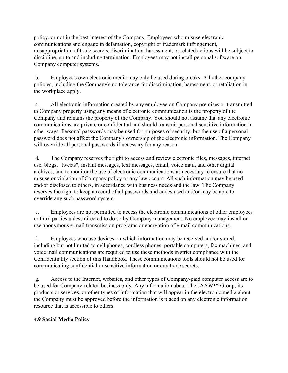policy, or not in the best interest of the Company. Employees who misuse electronic communications and engage in defamation, copyright or trademark infringement, misappropriation of trade secrets, discrimination, harassment, or related actions will be subject to discipline, up to and including termination. Employees may not install personal software on Company computer systems.

 b. Employee's own electronic media may only be used during breaks. All other company policies, including the Company's no tolerance for discrimination, harassment, or retaliation in the workplace apply.

 c. All electronic information created by any employee on Company premises or transmitted to Company property using any means of electronic communication is the property of the Company and remains the property of the Company. You should not assume that any electronic communications are private or confidential and should transmit personal sensitive information in other ways. Personal passwords may be used for purposes of security, but the use of a personal password does not affect the Company's ownership of the electronic information. The Company will override all personal passwords if necessary for any reason.

 d. The Company reserves the right to access and review electronic files, messages, internet use, blogs, "tweets", instant messages, text messages, email, voice mail, and other digital archives, and to monitor the use of electronic communications as necessary to ensure that no misuse or violation of Company policy or any law occurs. All such information may be used and/or disclosed to others, in accordance with business needs and the law. The Company reserves the right to keep a record of all passwords and codes used and/or may be able to override any such password system

 e. Employees are not permitted to access the electronic communications of other employees or third parties unless directed to do so by Company management. No employee may install or use anonymous e-mail transmission programs or encryption of e-mail communications.

 f. Employees who use devices on which information may be received and/or stored, including but not limited to cell phones, cordless phones, portable computers, fax machines, and voice mail communications are required to use these methods in strict compliance with the Confidentiality section of this Handbook. These communications tools should not be used for communicating confidential or sensitive information or any trade secrets.

 g. Access to the Internet, websites, and other types of Company-paid computer access are to be used for Company-related business only. Any information about The JAAW™ Group, its products or services, or other types of information that will appear in the electronic media about the Company must be approved before the information is placed on any electronic information resource that is accessible to others.

### **4.9 Social Media Policy**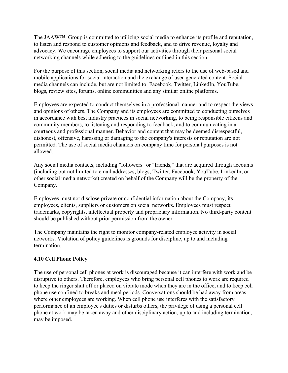The JAAW™ Group is committed to utilizing social media to enhance its profile and reputation, to listen and respond to customer opinions and feedback, and to drive revenue, loyalty and advocacy. We encourage employees to support our activities through their personal social networking channels while adhering to the guidelines outlined in this section.

For the purpose of this section, social media and networking refers to the use of web-based and mobile applications for social interaction and the exchange of user-generated content. Social media channels can include, but are not limited to: Facebook, Twitter, LinkedIn, YouTube, blogs, review sites, forums, online communities and any similar online platforms.

Employees are expected to conduct themselves in a professional manner and to respect the views and opinions of others. The Company and its employees are committed to conducting ourselves in accordance with best industry practices in social networking, to being responsible citizens and community members, to listening and responding to feedback, and to communicating in a courteous and professional manner. Behavior and content that may be deemed disrespectful, dishonest, offensive, harassing or damaging to the company's interests or reputation are not permitted. The use of social media channels on company time for personal purposes is not allowed.

Any social media contacts, including "followers" or "friends," that are acquired through accounts (including but not limited to email addresses, blogs, Twitter, Facebook, YouTube, LinkedIn, or other social media networks) created on behalf of the Company will be the property of the Company.

Employees must not disclose private or confidential information about the Company, its employees, clients, suppliers or customers on social networks. Employees must respect trademarks, copyrights, intellectual property and proprietary information. No third-party content should be published without prior permission from the owner.

The Company maintains the right to monitor company-related employee activity in social networks. Violation of policy guidelines is grounds for discipline, up to and including termination.

### **4.10 Cell Phone Policy**

The use of personal cell phones at work is discouraged because it can interfere with work and be disruptive to others. Therefore, employees who bring personal cell phones to work are required to keep the ringer shut off or placed on vibrate mode when they are in the office, and to keep cell phone use confined to breaks and meal periods. Conversations should be had away from areas where other employees are working. When cell phone use interferes with the satisfactory performance of an employee's duties or disturbs others, the privilege of using a personal cell phone at work may be taken away and other disciplinary action, up to and including termination, may be imposed.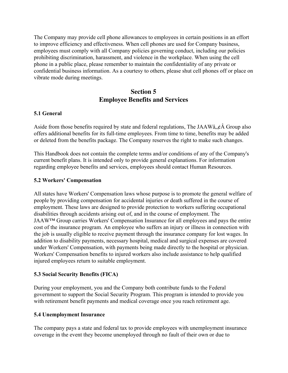The Company may provide cell phone allowances to employees in certain positions in an effort to improve efficiency and effectiveness. When cell phones are used for Company business, employees must comply with all Company policies governing conduct, including our policies prohibiting discrimination, harassment, and violence in the workplace. When using the cell phone in a public place, please remember to maintain the confidentiality of any private or confidential business information. As a courtesy to others, please shut cell phones off or place on vibrate mode during meetings.

### **Section 5 Employee Benefits and Services**

### **5.1 General**

Aside from those benefits required by state and federal regulations, The JAAW $\hat{a}, \hat{c}$  A Group also offers additional benefits for its full-time employees. From time to time, benefits may be added or deleted from the benefits package. The Company reserves the right to make such changes.

This Handbook does not contain the complete terms and/or conditions of any of the Company's current benefit plans. It is intended only to provide general explanations. For information regarding employee benefits and services, employees should contact Human Resources.

### **5.2 Workers' Compensation**

All states have Workers' Compensation laws whose purpose is to promote the general welfare of people by providing compensation for accidental injuries or death suffered in the course of employment. These laws are designed to provide protection to workers suffering occupational disabilities through accidents arising out of, and in the course of employment. The JAAW™ Group carries Workers' Compensation Insurance for all employees and pays the entire cost of the insurance program. An employee who suffers an injury or illness in connection with the job is usually eligible to receive payment through the insurance company for lost wages. In addition to disability payments, necessary hospital, medical and surgical expenses are covered under Workers' Compensation, with payments being made directly to the hospital or physician. Workers' Compensation benefits to injured workers also include assistance to help qualified injured employees return to suitable employment.

### **5.3 Social Security Benefits (FICA)**

During your employment, you and the Company both contribute funds to the Federal government to support the Social Security Program. This program is intended to provide you with retirement benefit payments and medical coverage once you reach retirement age.

### **5.4 Unemployment Insurance**

The company pays a state and federal tax to provide employees with unemployment insurance coverage in the event they become unemployed through no fault of their own or due to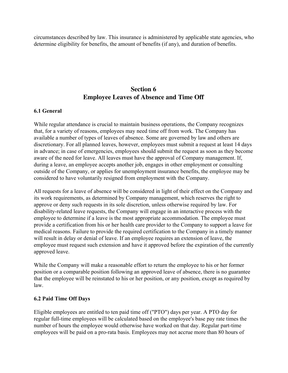circumstances described by law. This insurance is administered by applicable state agencies, who determine eligibility for benefits, the amount of benefits (if any), and duration of benefits.

# **Section 6 Employee Leaves of Absence and Time Off**

#### **6.1 General**

While regular attendance is crucial to maintain business operations, the Company recognizes that, for a variety of reasons, employees may need time off from work. The Company has available a number of types of leaves of absence. Some are governed by law and others are discretionary. For all planned leaves, however, employees must submit a request at least 14 days in advance; in case of emergencies, employees should submit the request as soon as they become aware of the need for leave. All leaves must have the approval of Company management. If, during a leave, an employee accepts another job, engages in other employment or consulting outside of the Company, or applies for unemployment insurance benefits, the employee may be considered to have voluntarily resigned from employment with the Company.

All requests for a leave of absence will be considered in light of their effect on the Company and its work requirements, as determined by Company management, which reserves the right to approve or deny such requests in its sole discretion, unless otherwise required by law. For disability-related leave requests, the Company will engage in an interactive process with the employee to determine if a leave is the most appropriate accommodation. The employee must provide a certification from his or her health care provider to the Company to support a leave for medical reasons. Failure to provide the required certification to the Company in a timely manner will result in delay or denial of leave. If an employee requires an extension of leave, the employee must request such extension and have it approved before the expiration of the currently approved leave.

While the Company will make a reasonable effort to return the employee to his or her former position or a comparable position following an approved leave of absence, there is no guarantee that the employee will be reinstated to his or her position, or any position, except as required by law.

#### **6.2 Paid Time Off Days**

Eligible employees are entitled to ten paid time off ("PTO") days per year. A PTO day for regular full-time employees will be calculated based on the employee's base pay rate times the number of hours the employee would otherwise have worked on that day. Regular part-time employees will be paid on a pro-rata basis. Employees may not accrue more than 80 hours of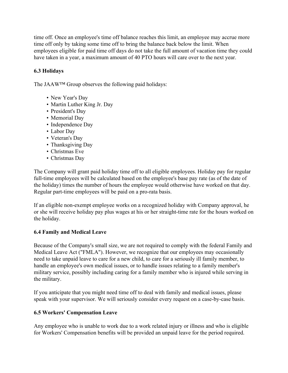time off. Once an employee's time off balance reaches this limit, an employee may accrue more time off only by taking some time off to bring the balance back below the limit. When employees eligible for paid time off days do not take the full amount of vacation time they could have taken in a year, a maximum amount of 40 PTO hours will care over to the next year.

### **6.3 Holidays**

The JAAW™ Group observes the following paid holidays:

- New Year's Day
- Martin Luther King Jr. Day
- President's Day
- Memorial Day
- Independence Day
- Labor Day
- Veteran's Day
- Thanksgiving Day
- Christmas Eve
- Christmas Day

The Company will grant paid holiday time off to all eligible employees. Holiday pay for regular full-time employees will be calculated based on the employee's base pay rate (as of the date of the holiday) times the number of hours the employee would otherwise have worked on that day. Regular part-time employees will be paid on a pro-rata basis.

If an eligible non-exempt employee works on a recognized holiday with Company approval, he or she will receive holiday pay plus wages at his or her straight-time rate for the hours worked on the holiday.

### **6.4 Family and Medical Leave**

Because of the Company's small size, we are not required to comply with the federal Family and Medical Leave Act ("FMLA"). However, we recognize that our employees may occasionally need to take unpaid leave to care for a new child, to care for a seriously ill family member, to handle an employee's own medical issues, or to handle issues relating to a family member's military service, possibly including caring for a family member who is injured while serving in the military.

If you anticipate that you might need time off to deal with family and medical issues, please speak with your supervisor. We will seriously consider every request on a case-by-case basis.

### **6.5 Workers' Compensation Leave**

Any employee who is unable to work due to a work related injury or illness and who is eligible for Workers' Compensation benefits will be provided an unpaid leave for the period required.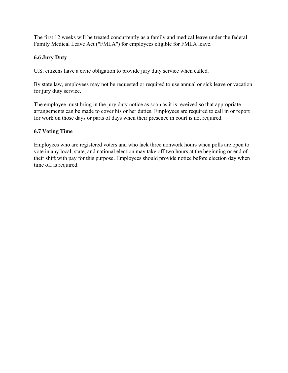The first 12 weeks will be treated concurrently as a family and medical leave under the federal Family Medical Leave Act ("FMLA") for employees eligible for FMLA leave.

### **6.6 Jury Duty**

U.S. citizens have a civic obligation to provide jury duty service when called.

By state law, employees may not be requested or required to use annual or sick leave or vacation for jury duty service.

The employee must bring in the jury duty notice as soon as it is received so that appropriate arrangements can be made to cover his or her duties. Employees are required to call in or report for work on those days or parts of days when their presence in court is not required.

### **6.7 Voting Time**

Employees who are registered voters and who lack three nonwork hours when polls are open to vote in any local, state, and national election may take off two hours at the beginning or end of their shift with pay for this purpose. Employees should provide notice before election day when time off is required.